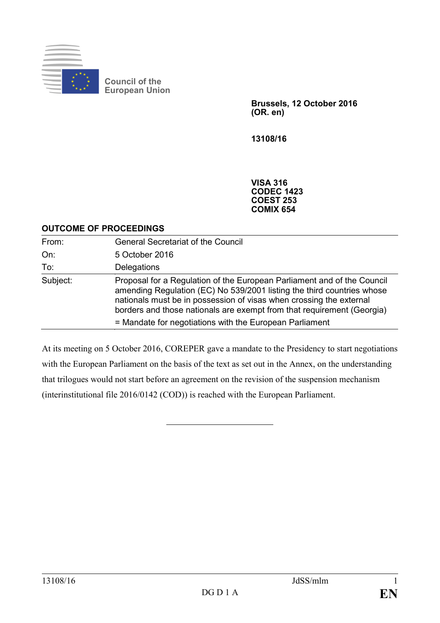

**Brussels, 12 October 2016 (OR. en)**

**13108/16**

**VISA 316 CODEC 1423 COEST 253 COMIX 654**

#### **OUTCOME OF PROCEEDINGS**

| From:    | <b>General Secretariat of the Council</b>                                                                                                                                                                                                                                                                                                                     |
|----------|---------------------------------------------------------------------------------------------------------------------------------------------------------------------------------------------------------------------------------------------------------------------------------------------------------------------------------------------------------------|
| On:      | 5 October 2016                                                                                                                                                                                                                                                                                                                                                |
| To:      | Delegations                                                                                                                                                                                                                                                                                                                                                   |
| Subject: | Proposal for a Regulation of the European Parliament and of the Council<br>amending Regulation (EC) No 539/2001 listing the third countries whose<br>nationals must be in possession of visas when crossing the external<br>borders and those nationals are exempt from that requirement (Georgia)<br>= Mandate for negotiations with the European Parliament |

At its meeting on 5 October 2016, COREPER gave a mandate to the Presidency to start negotiations with the European Parliament on the basis of the text as set out in the Annex, on the understanding that trilogues would not start before an agreement on the revision of the suspension mechanism (interinstitutional file 2016/0142 (COD)) is reached with the European Parliament.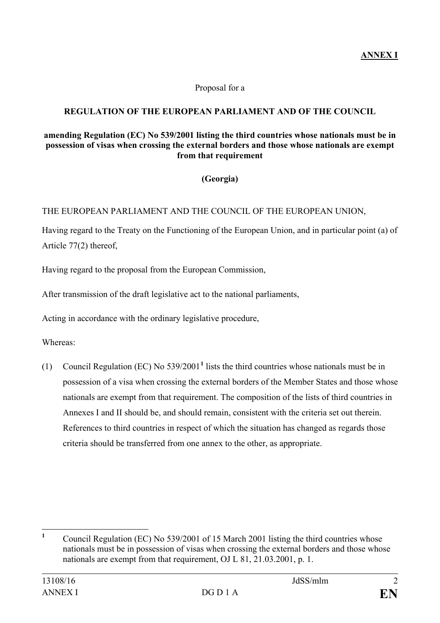#### Proposal for a

# **REGULATION OF THE EUROPEAN PARLIAMENT AND OF THE COUNCIL**

#### **amending Regulation (EC) No 539/2001 listing the third countries whose nationals must be in possession of visas when crossing the external borders and those whose nationals are exempt from that requirement**

# **(Georgia)**

#### THE EUROPEAN PARLIAMENT AND THE COUNCIL OF THE EUROPEAN UNION,

Having regard to the Treaty on the Functioning of the European Union, and in particular point (a) of Article 77(2) thereof,

Having regard to the proposal from the European Commission,

After transmission of the draft legislative act to the national parliaments,

Acting in accordance with the ordinary legislative procedure,

Whereas:

(1) Council Regulation (EC) No 539/2001**[1](#page-1-0)** lists the third countries whose nationals must be in possession of a visa when crossing the external borders of the Member States and those whose nationals are exempt from that requirement. The composition of the lists of third countries in Annexes I and II should be, and should remain, consistent with the criteria set out therein. References to third countries in respect of which the situation has changed as regards those criteria should be transferred from one annex to the other, as appropriate.

<span id="page-1-0"></span>**<sup>1</sup>** Council Regulation (EC) No 539/2001 of 15 March 2001 listing the third countries whose nationals must be in possession of visas when crossing the external borders and those whose nationals are exempt from that requirement, OJ L 81, 21.03.2001, p. 1.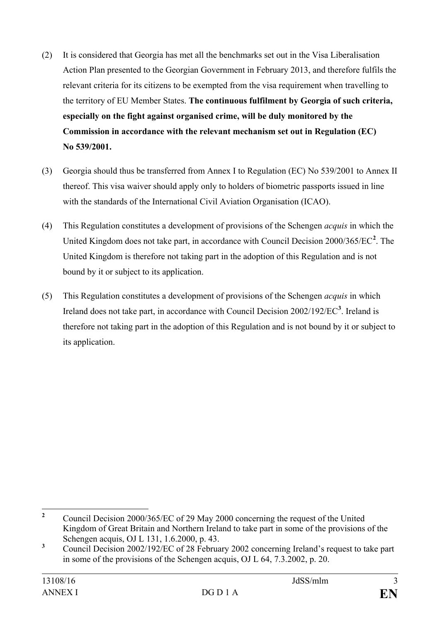- (2) It is considered that Georgia has met all the benchmarks set out in the Visa Liberalisation Action Plan presented to the Georgian Government in February 2013, and therefore fulfils the relevant criteria for its citizens to be exempted from the visa requirement when travelling to the territory of EU Member States. **The continuous fulfilment by Georgia of such criteria, especially on the fight against organised crime, will be duly monitored by the Commission in accordance with the relevant mechanism set out in Regulation (EC) No 539/2001.**
- (3) Georgia should thus be transferred from Annex I to Regulation (EC) No 539/2001 to Annex II thereof. This visa waiver should apply only to holders of biometric passports issued in line with the standards of the International Civil Aviation Organisation (ICAO).
- (4) This Regulation constitutes a development of provisions of the Schengen *acquis* in which the United Kingdom does not take part, in accordance with Council Decision 2000/365/EC**[2](#page-2-0)** . The United Kingdom is therefore not taking part in the adoption of this Regulation and is not bound by it or subject to its application.
- (5) This Regulation constitutes a development of provisions of the Schengen *acquis* in which Ireland does not take part, in accordance with Council Decision 2002/192/EC**[3](#page-2-1)** . Ireland is therefore not taking part in the adoption of this Regulation and is not bound by it or subject to its application.

<span id="page-2-0"></span><sup>&</sup>lt;sup>2</sup> Council Decision 2000/365/EC of 29 May 2000 concerning the request of the United Kingdom of Great Britain and Northern Ireland to take part in some of the provisions of the Schengen acquis, OJ L 131, 1.6.2000, p. 43.

<span id="page-2-1"></span><sup>&</sup>lt;sup>3</sup> Council Decision 2002/192/EC of 28 February 2002 concerning Ireland's request to take part in some of the provisions of the Schengen acquis, OJ L 64, 7.3.2002, p. 20.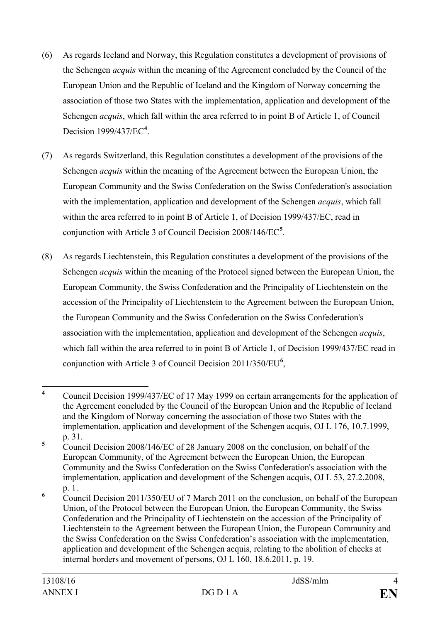- (6) As regards Iceland and Norway, this Regulation constitutes a development of provisions of the Schengen *acquis* within the meaning of the Agreement concluded by the Council of the European Union and the Republic of Iceland and the Kingdom of Norway concerning the association of those two States with the implementation, application and development of the Schengen *acquis*, which fall within the area referred to in point B of Article 1, of Council Decision 1999/437/EC**[4](#page-3-0)** .
- (7) As regards Switzerland, this Regulation constitutes a development of the provisions of the Schengen *acquis* within the meaning of the Agreement between the European Union, the European Community and the Swiss Confederation on the Swiss Confederation's association with the implementation, application and development of the Schengen *acquis*, which fall within the area referred to in point B of Article 1, of Decision 1999/437/EC, read in conjunction with Article 3 of Council Decision 2008/146/EC**[5](#page-3-1)** .
- (8) As regards Liechtenstein, this Regulation constitutes a development of the provisions of the Schengen *acquis* within the meaning of the Protocol signed between the European Union, the European Community, the Swiss Confederation and the Principality of Liechtenstein on the accession of the Principality of Liechtenstein to the Agreement between the European Union, the European Community and the Swiss Confederation on the Swiss Confederation's association with the implementation, application and development of the Schengen *acquis*, which fall within the area referred to in point B of Article 1, of Decision 1999/437/EC read in conjunction with Article 3 of Council Decision 2011/350/EU**[6](#page-3-2)** ,

<span id="page-3-0"></span>**<sup>4</sup>** Council Decision 1999/437/EC of 17 May 1999 on certain arrangements for the application of the Agreement concluded by the Council of the European Union and the Republic of Iceland and the Kingdom of Norway concerning the association of those two States with the implementation, application and development of the Schengen acquis, OJ L 176, 10.7.1999, p. 31.

<span id="page-3-1"></span><sup>&</sup>lt;sup>5</sup> Council Decision 2008/146/EC of 28 January 2008 on the conclusion, on behalf of the European Community, of the Agreement between the European Union, the European Community and the Swiss Confederation on the Swiss Confederation's association with the implementation, application and development of the Schengen acquis, OJ L 53, 27.2.2008, p. 1.

<span id="page-3-2"></span><sup>&</sup>lt;sup>6</sup> Council Decision 2011/350/EU of 7 March 2011 on the conclusion, on behalf of the European Union, of the Protocol between the European Union, the European Community, the Swiss Confederation and the Principality of Liechtenstein on the accession of the Principality of Liechtenstein to the Agreement between the European Union, the European Community and the Swiss Confederation on the Swiss Confederation's association with the implementation, application and development of the Schengen acquis, relating to the abolition of checks at internal borders and movement of persons, OJ L 160, 18.6.2011, p. 19.